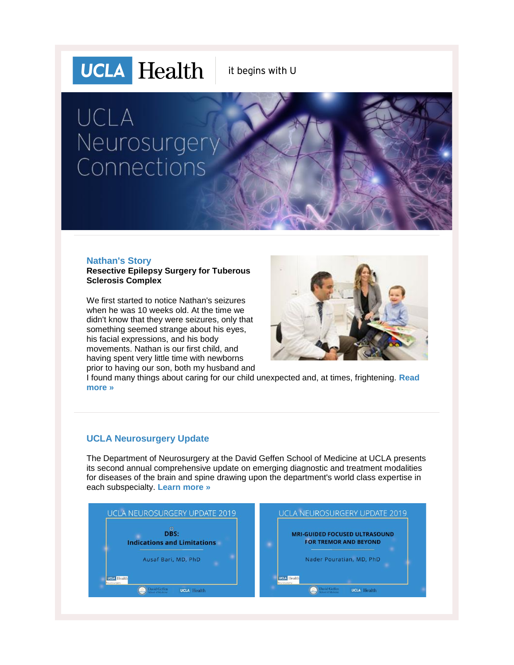# **UCLA** Health

it begins with U

# UCLA Neurosurgery Connections

#### **Nathan's Story**

**Resective Epilepsy Surgery for Tuberous Sclerosis Complex**

We first started to notice Nathan's seizures when he was 10 weeks old. At the time we didn't know that they were seizures, only that something seemed strange about his eyes, his facial expressions, and his body movements. Nathan is our first child, and having spent very little time with newborns prior to having our son, both my husband and



I found many things about caring for our child unexpected and, at times, frightening. **[Read](http://r20.rs6.net/tn.jsp?f=001fSmJxp3YOyrsI7mmqE9geu1qvPIIDVzand5zZlH-_p6lrFaGkglO9HxCjha5sLZmCBz7YGVibOlBNGryVjuO7qRMuVENRbLbfGW5rpmzMm8gkJLgMadlNQA2UOiCOtqclmTvsIxaT3gQVE7nIvtrFcLsuh9J6KINjdTZLEwQgFdYjyoq7zb03EFdrSSH8Ln_THqwHOGA-mkTYyt0ds3h_fvZllP9N2BYHYqWoBGSeCY70F7SRSHJJw==&c=XZP9RA53wvOLvDHFRmf7RDWVnRbn2NOwy6ADQvk_GRs2J_ScK_mYrQ==&ch=HDQmIFRSDvvCtogc2fr7oCFJl28mHZTjEuiVAIRR8XfK4WOFSLsOyQ==)  [more »](http://r20.rs6.net/tn.jsp?f=001fSmJxp3YOyrsI7mmqE9geu1qvPIIDVzand5zZlH-_p6lrFaGkglO9HxCjha5sLZmCBz7YGVibOlBNGryVjuO7qRMuVENRbLbfGW5rpmzMm8gkJLgMadlNQA2UOiCOtqclmTvsIxaT3gQVE7nIvtrFcLsuh9J6KINjdTZLEwQgFdYjyoq7zb03EFdrSSH8Ln_THqwHOGA-mkTYyt0ds3h_fvZllP9N2BYHYqWoBGSeCY70F7SRSHJJw==&c=XZP9RA53wvOLvDHFRmf7RDWVnRbn2NOwy6ADQvk_GRs2J_ScK_mYrQ==&ch=HDQmIFRSDvvCtogc2fr7oCFJl28mHZTjEuiVAIRR8XfK4WOFSLsOyQ==)**

## **UCLA Neurosurgery Update**

The Department of Neurosurgery at the David Geffen School of Medicine at UCLA presents its second annual comprehensive update on emerging diagnostic and treatment modalities for diseases of the brain and spine drawing upon the department's world class expertise in each subspecialty. **[Learn more »](http://r20.rs6.net/tn.jsp?f=001fSmJxp3YOyrsI7mmqE9geu1qvPIIDVzand5zZlH-_p6lrFaGkglO9OP0Ik62tLdLgoM3rBnfEM-14dsM9HAjqS-A__TlwnUmLKOw-xGaPl_f-rm_Gay3rdVjLpURWNtQa88HlUdTvNaIQzphUjM_ZbfNNkQweSlYhtStvhwAgaEf9-gMkebTFzxQQhog7JPUdzUpI7HxDGejLIHIGmYJgA==&c=XZP9RA53wvOLvDHFRmf7RDWVnRbn2NOwy6ADQvk_GRs2J_ScK_mYrQ==&ch=HDQmIFRSDvvCtogc2fr7oCFJl28mHZTjEuiVAIRR8XfK4WOFSLsOyQ==)**

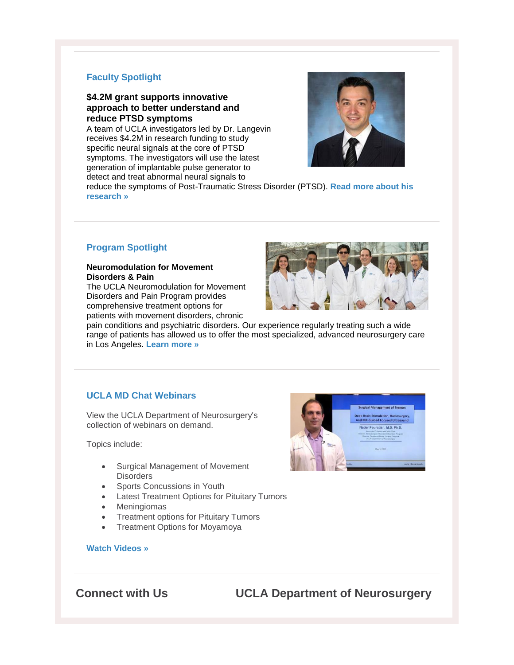#### **Faculty Spotlight**

#### **\$4.2M grant supports innovative approach to better understand and reduce PTSD symptoms**

A team of UCLA investigators led by Dr. Langevin receives \$4.2M in research funding to study specific neural signals at the core of PTSD symptoms. The investigators will use the latest generation of implantable pulse generator to detect and treat abnormal neural signals to



reduce the symptoms of Post-Traumatic Stress Disorder (PTSD). **[Read more about his](http://r20.rs6.net/tn.jsp?f=001fSmJxp3YOyrsI7mmqE9geu1qvPIIDVzand5zZlH-_p6lrFaGkglO9HxCjha5sLZmI2przHohVRTm9blhBmZFqLYDH2yOx-KLx_isuc2kN5s0pTJkAC9uxhOOv0Au3uU5RK62aUKBsewO6vOkxd4ft0WYDxpzwCAawZ2Z7RP5ncQAtikCDp2TuFIJ3Zzo7w0UxLAqD3RjH3xgDBAikzEThw1dkcSZgr0OSc2pDyR4HeNW8ofhXPJTZUUuoeLYpotWMaYYwQ33ydg=&c=XZP9RA53wvOLvDHFRmf7RDWVnRbn2NOwy6ADQvk_GRs2J_ScK_mYrQ==&ch=HDQmIFRSDvvCtogc2fr7oCFJl28mHZTjEuiVAIRR8XfK4WOFSLsOyQ==)  [research »](http://r20.rs6.net/tn.jsp?f=001fSmJxp3YOyrsI7mmqE9geu1qvPIIDVzand5zZlH-_p6lrFaGkglO9HxCjha5sLZmI2przHohVRTm9blhBmZFqLYDH2yOx-KLx_isuc2kN5s0pTJkAC9uxhOOv0Au3uU5RK62aUKBsewO6vOkxd4ft0WYDxpzwCAawZ2Z7RP5ncQAtikCDp2TuFIJ3Zzo7w0UxLAqD3RjH3xgDBAikzEThw1dkcSZgr0OSc2pDyR4HeNW8ofhXPJTZUUuoeLYpotWMaYYwQ33ydg=&c=XZP9RA53wvOLvDHFRmf7RDWVnRbn2NOwy6ADQvk_GRs2J_ScK_mYrQ==&ch=HDQmIFRSDvvCtogc2fr7oCFJl28mHZTjEuiVAIRR8XfK4WOFSLsOyQ==)**

## **Program Spotlight**

#### **Neuromodulation for Movement Disorders & Pain**

The UCLA Neuromodulation for Movement Disorders and Pain Program provides comprehensive treatment options for patients with movement disorders, chronic



pain conditions and psychiatric disorders. Our experience regularly treating such a wide range of patients has allowed us to offer the most specialized, advanced neurosurgery care in Los Angeles. **[Learn more »](http://r20.rs6.net/tn.jsp?f=001fSmJxp3YOyrsI7mmqE9geu1qvPIIDVzand5zZlH-_p6lrFaGkglO9LkB9UeWETi6tLxtSQjrCQC5CejjScvv1ue5Zsnjbk6fMNKfPZvo6gj-wm-f2uivIJ4_VN5f9NHUL93su3eb72w5m4msEx3fmq0hcCBghS42e8q90Sxg83v1WvtxnM3Buw==&c=XZP9RA53wvOLvDHFRmf7RDWVnRbn2NOwy6ADQvk_GRs2J_ScK_mYrQ==&ch=HDQmIFRSDvvCtogc2fr7oCFJl28mHZTjEuiVAIRR8XfK4WOFSLsOyQ==)**

## **UCLA MD Chat Webinars**

View the UCLA Department of Neurosurgery's collection of webinars on demand.

Topics include:

- Surgical Management of Movement **Disorders**
- Sports Concussions in Youth
- Latest Treatment Options for Pituitary Tumors
- Meningiomas
- Treatment options for Pituitary Tumors
- Treatment Options for Moyamoya



#### **[Watch Videos »](http://r20.rs6.net/tn.jsp?f=001fSmJxp3YOyrsI7mmqE9geu1qvPIIDVzand5zZlH-_p6lrFaGkglO9MM-UYMRVK8WeX_xC-__k8IcZsDQ3SX-Y37gI1WKksFRlPWbhyoa39xG1_wmYacZRY-gUR0Bvtffyz9I6f70Kw5HJtfD4k-sJ6Gw2gCib4WqfJwoixbxWWU5xIjod0fed4dA7Fx4ocPd0BwJGKs61iw=&c=XZP9RA53wvOLvDHFRmf7RDWVnRbn2NOwy6ADQvk_GRs2J_ScK_mYrQ==&ch=HDQmIFRSDvvCtogc2fr7oCFJl28mHZTjEuiVAIRR8XfK4WOFSLsOyQ==)**

# **Connect with Us UCLA Department of Neurosurgery**